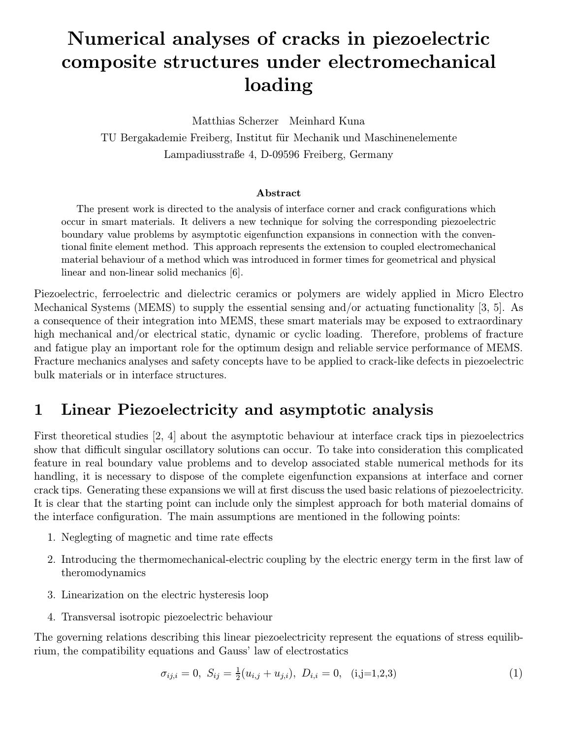# Numerical analyses of cracks in piezoelectric composite structures under electromechanical loading

Matthias Scherzer Meinhard Kuna TU Bergakademie Freiberg, Institut für Mechanik und Maschinenelemente Lampadiusstraße 4, D-09596 Freiberg, Germany

#### Abstract

The present work is directed to the analysis of interface corner and crack configurations which occur in smart materials. It delivers a new technique for solving the corresponding piezoelectric boundary value problems by asymptotic eigenfunction expansions in connection with the conventional finite element method. This approach represents the extension to coupled electromechanical material behaviour of a method which was introduced in former times for geometrical and physical linear and non-linear solid mechanics [6].

Piezoelectric, ferroelectric and dielectric ceramics or polymers are widely applied in Micro Electro Mechanical Systems (MEMS) to supply the essential sensing and/or actuating functionality [3, 5]. As a consequence of their integration into MEMS, these smart materials may be exposed to extraordinary high mechanical and/or electrical static, dynamic or cyclic loading. Therefore, problems of fracture and fatigue play an important role for the optimum design and reliable service performance of MEMS. Fracture mechanics analyses and safety concepts have to be applied to crack-like defects in piezoelectric bulk materials or in interface structures.

## 1 Linear Piezoelectricity and asymptotic analysis

First theoretical studies [2, 4] about the asymptotic behaviour at interface crack tips in piezoelectrics show that difficult singular oscillatory solutions can occur. To take into consideration this complicated feature in real boundary value problems and to develop associated stable numerical methods for its handling, it is necessary to dispose of the complete eigenfunction expansions at interface and corner crack tips. Generating these expansions we will at first discuss the used basic relations of piezoelectricity. It is clear that the starting point can include only the simplest approach for both material domains of the interface configuration. The main assumptions are mentioned in the following points:

- 1. Neglegting of magnetic and time rate effects
- 2. Introducing the thermomechanical-electric coupling by the electric energy term in the first law of theromodynamics
- 3. Linearization on the electric hysteresis loop
- 4. Transversal isotropic piezoelectric behaviour

The governing relations describing this linear piezoelectricity represent the equations of stress equilibrium, the compatibility equations and Gauss' law of electrostatics

$$
\sigma_{ij,i} = 0, \ S_{ij} = \frac{1}{2}(u_{i,j} + u_{j,i}), \ D_{i,i} = 0, \quad (i,j=1,2,3)
$$
 (1)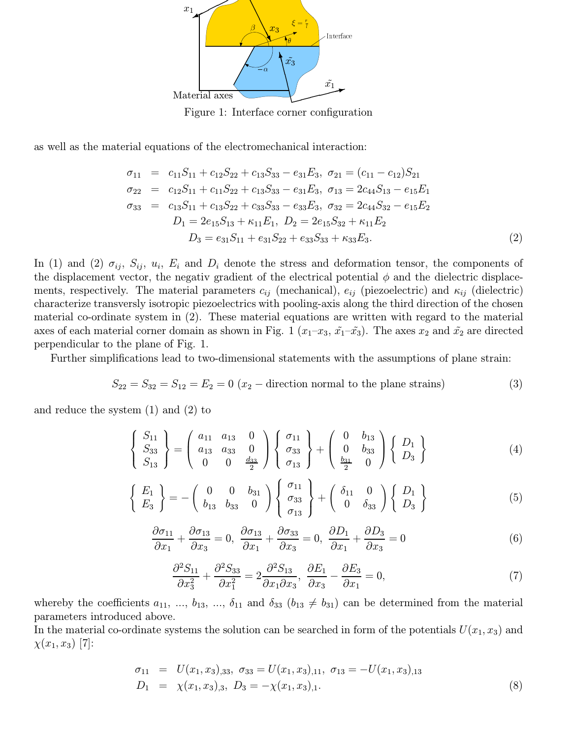

Figure 1: Interface corner configuration

as well as the material equations of the electromechanical interaction:

$$
\sigma_{11} = c_{11}S_{11} + c_{12}S_{22} + c_{13}S_{33} - e_{31}E_3, \ \sigma_{21} = (c_{11} - c_{12})S_{21}
$$
\n
$$
\sigma_{22} = c_{12}S_{11} + c_{11}S_{22} + c_{13}S_{33} - e_{31}E_3, \ \sigma_{13} = 2c_{44}S_{13} - e_{15}E_1
$$
\n
$$
\sigma_{33} = c_{13}S_{11} + c_{13}S_{22} + c_{33}S_{33} - e_{33}E_3, \ \sigma_{32} = 2c_{44}S_{32} - e_{15}E_2
$$
\n
$$
D_1 = 2e_{15}S_{13} + \kappa_{11}E_1, \ D_2 = 2e_{15}S_{32} + \kappa_{11}E_2
$$
\n
$$
D_3 = e_{31}S_{11} + e_{31}S_{22} + e_{33}S_{33} + \kappa_{33}E_3. \tag{2}
$$

In (1) and (2)  $\sigma_{ij}$ ,  $S_{ij}$ ,  $u_i$ ,  $E_i$  and  $D_i$  denote the stress and deformation tensor, the components of the displacement vector, the negativ gradient of the electrical potential  $\phi$  and the dielectric displacements, respectively. The material parameters  $c_{ij}$  (mechanical),  $e_{ij}$  (piezoelectric) and  $\kappa_{ij}$  (dielectric) characterize transversly isotropic piezoelectrics with pooling-axis along the third direction of the chosen material co-ordinate system in (2). These material equations are written with regard to the material axes of each material corner domain as shown in Fig. 1  $(x_1-x_3, \tilde{x_1}-\tilde{x_3})$ . The axes  $x_2$  and  $\tilde{x_2}$  are directed perpendicular to the plane of Fig. 1.

Further simplifications lead to two-dimensional statements with the assumptions of plane strain:

$$
S_{22} = S_{32} = S_{12} = E_2 = 0
$$
 (x<sub>2</sub> - direction normal to the plane strains) (3)

and reduce the system (1) and (2) to

$$
\begin{Bmatrix} S_{11} \\ S_{33} \\ S_{13} \end{Bmatrix} = \begin{pmatrix} a_{11} & a_{13} & 0 \\ a_{13} & a_{33} & 0 \\ 0 & 0 & \frac{d_{33}}{2} \end{pmatrix} \begin{Bmatrix} \sigma_{11} \\ \sigma_{33} \\ \sigma_{13} \end{Bmatrix} + \begin{pmatrix} 0 & b_{13} \\ 0 & b_{33} \\ \frac{b_{31}}{2} & 0 \end{pmatrix} \begin{Bmatrix} D_1 \\ D_3 \end{Bmatrix}
$$
 (4)

$$
\begin{Bmatrix} E_1 \\ E_3 \end{Bmatrix} = -\begin{pmatrix} 0 & 0 & b_{31} \\ b_{13} & b_{33} & 0 \end{pmatrix} \begin{Bmatrix} \sigma_{11} \\ \sigma_{33} \\ \sigma_{13} \end{Bmatrix} + \begin{pmatrix} \delta_{11} & 0 \\ 0 & \delta_{33} \end{pmatrix} \begin{Bmatrix} D_1 \\ D_3 \end{Bmatrix}
$$
 (5)

$$
\frac{\partial \sigma_{11}}{\partial x_1} + \frac{\partial \sigma_{13}}{\partial x_3} = 0, \ \frac{\partial \sigma_{13}}{\partial x_1} + \frac{\partial \sigma_{33}}{\partial x_3} = 0, \ \frac{\partial D_1}{\partial x_1} + \frac{\partial D_3}{\partial x_3} = 0 \tag{6}
$$

$$
\frac{\partial^2 S_{11}}{\partial x_3^2} + \frac{\partial^2 S_{33}}{\partial x_1^2} = 2 \frac{\partial^2 S_{13}}{\partial x_1 \partial x_3}, \quad \frac{\partial E_1}{\partial x_3} - \frac{\partial E_3}{\partial x_1} = 0,\tag{7}
$$

whereby the coefficients  $a_{11}, ..., b_{13}, ..., \delta_{11}$  and  $\delta_{33}$   $(b_{13} \neq b_{31})$  can be determined from the material parameters introduced above.

In the material co-ordinate systems the solution can be searched in form of the potentials  $U(x_1, x_3)$  and  $\chi(x_1, x_3)$  [7]:

$$
\begin{aligned}\n\sigma_{11} &= U(x_1, x_3), \quad \sigma_{33} = U(x_1, x_3), \\
\sigma_{11} &= \chi(x_1, x_3), \quad D_3 = -\chi(x_1, x_3), \\
\end{aligned} \quad \sigma_{12} = -U(x_1, x_3),\n\tag{8}
$$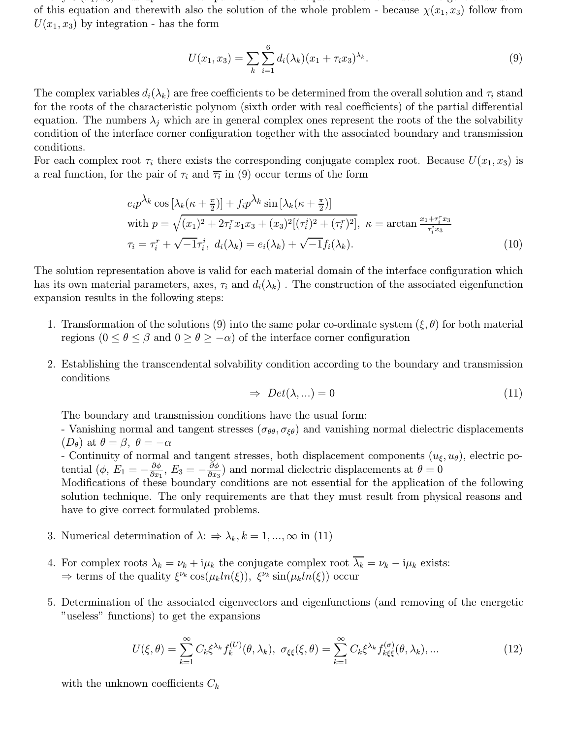Finally U(x1, x3) ends up in a linear particle extension of sixth order. The general solution of  $\alpha$ of this equation and therewith also the solution of the whole problem - because  $\chi(x_1, x_3)$  follow from  $U(x_1, x_3)$  by integration - has the form

$$
U(x_1, x_3) = \sum_{k} \sum_{i=1}^{6} d_i(\lambda_k)(x_1 + \tau_i x_3)^{\lambda_k}.
$$
 (9)

The complex variables  $d_i(\lambda_k)$  are free coefficients to be determined from the overall solution and  $\tau_i$  stand for the roots of the characteristic polynom (sixth order with real coefficients) of the partial differential equation. The numbers  $\lambda_i$  which are in general complex ones represent the roots of the the solvability condition of the interface corner configuration together with the associated boundary and transmission conditions.

For each complex root  $\tau_i$  there exists the corresponding conjugate complex root. Because  $U(x_1, x_3)$  is a real function, for the pair of  $\tau_i$  and  $\overline{\tau_i}$  in (9) occur terms of the form

$$
e_i p^{\lambda_k} \cos \left[\lambda_k (\kappa + \frac{\pi}{2})\right] + f_i p^{\lambda_k} \sin \left[\lambda_k (\kappa + \frac{\pi}{2})\right]
$$
  
with  $p = \sqrt{(x_1)^2 + 2\tau_i^r x_1 x_3 + (x_3)^2 [(\tau_i^i)^2 + (\tau_i^r)^2]}, \ \kappa = \arctan \frac{x_1 + \tau_i^r x_3}{\tau_i^i x_3}$   
 $\tau_i = \tau_i^r + \sqrt{-1}\tau_i^i, \ d_i(\lambda_k) = e_i(\lambda_k) + \sqrt{-1}f_i(\lambda_k).$  (10)

The solution representation above is valid for each material domain of the interface configuration which has its own material parameters, axes,  $\tau_i$  and  $d_i(\lambda_k)$ . The construction of the associated eigenfunction expansion results in the following steps:

- 1. Transformation of the solutions (9) into the same polar co-ordinate system  $(\xi, \theta)$  for both material regions  $(0 \le \theta \le \beta$  and  $0 \ge \theta \ge -\alpha)$  of the interface corner configuration
- 2. Establishing the transcendental solvability condition according to the boundary and transmission conditions

$$
\Rightarrow Det(\lambda, \ldots) = 0 \tag{11}
$$

The boundary and transmission conditions have the usual form:

- Vanishing normal and tangent stresses ( $\sigma_{\theta\theta}, \sigma_{\xi\theta}$ ) and vanishing normal dielectric displacements  $(D_{\theta})$  at  $\theta = \beta$ ,  $\theta = -\alpha$ 

- Continuity of normal and tangent stresses, both displacement components  $(u_{\xi}, u_{\theta})$ , electric potential  $(\phi, E_1 = -\frac{\partial \phi}{\partial x_1}, E_3 = -\frac{\partial \phi}{\partial x_3})$  and normal dielectric displacements at  $\theta = 0$ 

Modifications of these boundary conditions are not essential for the application of the following solution technique. The only requirements are that they must result from physical reasons and have to give correct formulated problems.

- 3. Numerical determination of  $\lambda$ :  $\Rightarrow \lambda_k, k = 1, ..., \infty$  in (11)
- 4. For complex roots  $\lambda_k = \nu_k + i\mu_k$  the conjugate complex root  $\overline{\lambda_k} = \nu_k i\mu_k$  exists:  $\Rightarrow$  terms of the quality  $\xi^{\nu_k}$  cos $(\mu_k ln(\xi))$ ,  $\xi^{\nu_k}$  sin $(\mu_k ln(\xi))$  occur
- 5. Determination of the associated eigenvectors and eigenfunctions (and removing of the energetic "useless" functions) to get the expansions

$$
U(\xi,\theta) = \sum_{k=1}^{\infty} C_k \xi^{\lambda_k} f_k^{(U)}(\theta,\lambda_k), \ \sigma_{\xi\xi}(\xi,\theta) = \sum_{k=1}^{\infty} C_k \xi^{\lambda_k} f_{k\xi}^{(\sigma)}(\theta,\lambda_k), \dots \tag{12}
$$

with the unknown coefficients  $C_k$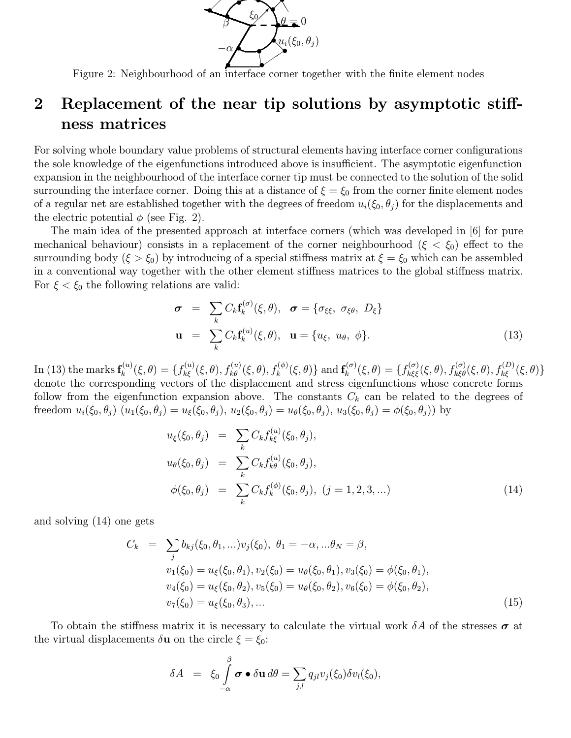

Figure 2: Neighbourhood of an interface corner together with the finite element nodes

## 2 Replacement of the near tip solutions by asymptotic stiffness matrices

For solving whole boundary value problems of structural elements having interface corner configurations the sole knowledge of the eigenfunctions introduced above is insufficient. The asymptotic eigenfunction expansion in the neighbourhood of the interface corner tip must be connected to the solution of the solid surrounding the interface corner. Doing this at a distance of  $\xi = \xi_0$  from the corner finite element nodes of a regular net are established together with the degrees of freedom  $u_i(\xi_0, \theta_i)$  for the displacements and the electric potential  $\phi$  (see Fig. 2).

The main idea of the presented approach at interface corners (which was developed in [6] for pure mechanical behaviour) consists in a replacement of the corner neighbourhood ( $\xi < \xi_0$ ) effect to the surrounding body  $(\xi > \xi_0)$  by introducing of a special stiffness matrix at  $\xi = \xi_0$  which can be assembled in a conventional way together with the other element stiffness matrices to the global stiffness matrix. For  $\xi < \xi_0$  the following relations are valid:

$$
\boldsymbol{\sigma} = \sum_{k} C_{k} \mathbf{f}_{k}^{(\sigma)}(\xi, \theta), \quad \boldsymbol{\sigma} = \{ \sigma_{\xi\xi}, \ \sigma_{\xi\theta}, \ D_{\xi} \}
$$

$$
\mathbf{u} = \sum_{k} C_{k} \mathbf{f}_{k}^{(u)}(\xi, \theta), \quad \mathbf{u} = \{ u_{\xi}, \ u_{\theta}, \ \phi \}. \tag{13}
$$

 $\text{In (13) the marks } \mathbf{f}_k^{(u)}(\xi, \theta) = \{f_{k\xi}^{(u)}(\xi, \theta), f_{k\theta}^{(u)}(\xi, \theta), f_k^{(\phi)}(\xi, \theta)\} \text{ and } \mathbf{f}_k^{(\sigma)}(\xi, \theta) = \{f_{k\xi\xi}^{(\sigma)}(\xi, \theta), f_{k\xi\theta}^{(\sigma)}(\xi, \theta), f_{k\xi}^{(D)}(\xi, \theta)\}$ denote the corresponding vectors of the displacement and stress eigenfunctions whose concrete forms follow from the eigenfunction expansion above. The constants  $C_k$  can be related to the degrees of freedom  $u_i(\xi_0, \theta_j)$   $(u_1(\xi_0, \theta_j) = u_{\xi}(\xi_0, \theta_j), u_2(\xi_0, \theta_j) = u_{\theta}(\xi_0, \theta_j), u_3(\xi_0, \theta_j) = \phi(\xi_0, \theta_j)$  by

$$
u_{\xi}(\xi_0, \theta_j) = \sum_{k} C_k f_{k\xi}^{(u)}(\xi_0, \theta_j),
$$
  
\n
$$
u_{\theta}(\xi_0, \theta_j) = \sum_{k} C_k f_{k\theta}^{(u)}(\xi_0, \theta_j),
$$
  
\n
$$
\phi(\xi_0, \theta_j) = \sum_{k} C_k f_{k}^{(\phi)}(\xi_0, \theta_j), (j = 1, 2, 3, ...)
$$
\n(14)

and solving (14) one gets

$$
C_k = \sum_j b_{kj}(\xi_0, \theta_1, \ldots) v_j(\xi_0), \ \theta_1 = -\alpha, \ldots \theta_N = \beta,
$$
  
\n
$$
v_1(\xi_0) = u_{\xi}(\xi_0, \theta_1), v_2(\xi_0) = u_{\theta}(\xi_0, \theta_1), v_3(\xi_0) = \phi(\xi_0, \theta_1),
$$
  
\n
$$
v_4(\xi_0) = u_{\xi}(\xi_0, \theta_2), v_5(\xi_0) = u_{\theta}(\xi_0, \theta_2), v_6(\xi_0) = \phi(\xi_0, \theta_2),
$$
  
\n
$$
v_7(\xi_0) = u_{\xi}(\xi_0, \theta_3), \ldots
$$
\n(15)

To obtain the stiffness matrix it is necessary to calculate the virtual work  $\delta A$  of the stresses  $\sigma$  at the virtual displacements  $\delta \mathbf{u}$  on the circle  $\xi = \xi_0$ :

$$
\delta A = \xi_0 \int\limits_{-\alpha}^{\beta} \boldsymbol{\sigma} \bullet \delta \mathbf{u} \, d\theta = \sum\limits_{j,l} q_{jl} v_j(\xi_0) \delta v_l(\xi_0),
$$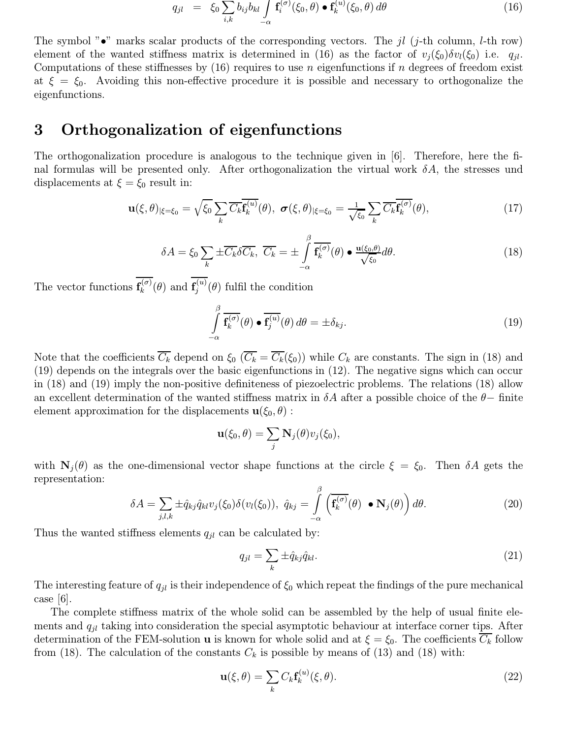$$
q_{jl} = \xi_0 \sum_{i,k} b_{ij} b_{kl} \int_{-\alpha} \mathbf{f}_i^{(\sigma)}(\xi_0, \theta) \bullet \mathbf{f}_k^{(u)}(\xi_0, \theta) d\theta \qquad (16)
$$

The symbol " $\bullet$ " marks scalar products of the corresponding vectors. The *il* (*j*-th column, *l*-th row) element of the wanted stiffness matrix is determined in (16) as the factor of  $v_i(\xi_0)\delta v_i(\xi_0)$  i.e.  $q_{il}$ . Computations of these stiffnesses by  $(16)$  requires to use n eigenfunctions if n degrees of freedom exist at  $\xi = \xi_0$ . Avoiding this non-effective procedure it is possible and necessary to orthogonalize the eigenfunctions.

## 3 Orthogonalization of eigenfunctions

The orthogonalization procedure is analogous to the technique given in [6]. Therefore, here the final formulas will be presented only. After orthogonalization the virtual work  $\delta A$ , the stresses und displacements at  $\xi = \xi_0$  result in:

$$
\mathbf{u}(\xi,\theta)|_{\xi=\xi_0} = \sqrt{\xi_0} \sum_k \overline{C_k} \overline{\mathbf{f}_k^{(u)}}(\theta), \ \boldsymbol{\sigma}(\xi,\theta)|_{\xi=\xi_0} = \frac{1}{\sqrt{\xi_0}} \sum_k \overline{C_k} \overline{\mathbf{f}_k^{(\sigma)}}(\theta), \tag{17}
$$

$$
\delta A = \xi_0 \sum_k \pm \overline{C_k} \delta \overline{C_k}, \ \overline{C_k} = \pm \int\limits_{-\alpha}^{\beta} \overline{\mathbf{f}_k^{(\sigma)}}(\theta) \bullet \underline{\mathbf{u}(\xi_0, \theta)} \, d\theta. \tag{18}
$$

The vector functions  $\mathbf{f}_k^{(\sigma)}(\theta)$  and  $\mathbf{f}_j^{(u)}(\theta)$  fulfil the condition

$$
\int_{-\alpha}^{\beta} \overline{\mathbf{f}_k^{(\sigma)}}(\theta) \bullet \overline{\mathbf{f}_j^{(u)}}(\theta) d\theta = \pm \delta_{kj}.
$$
\n(19)

Note that the coefficients  $\overline{C_k}$  depend on  $\xi_0$  ( $\overline{C_k} = \overline{C_k}(\xi_0)$ ) while  $C_k$  are constants. The sign in (18) and (19) depends on the integrals over the basic eigenfunctions in (12). The negative signs which can occur in (18) and (19) imply the non-positive definiteness of piezoelectric problems. The relations (18) allow an excellent determination of the wanted stiffness matrix in  $\delta A$  after a possible choice of the  $\theta-$  finite element approximation for the displacements  $\mathbf{u}(\xi_0,\theta)$ :

$$
\mathbf{u}(\xi_0,\theta)=\sum_j \mathbf{N}_j(\theta)v_j(\xi_0),
$$

with  $N_i(\theta)$  as the one-dimensional vector shape functions at the circle  $\xi = \xi_0$ . Then  $\delta A$  gets the representation:

$$
\delta A = \sum_{j,l,k} \pm \hat{q}_{kj} \hat{q}_{kl} v_j(\xi_0) \delta(v_l(\xi_0)), \ \hat{q}_{kj} = \int_{-\alpha}^{\beta} \left( \overline{\mathbf{f}_k^{(\sigma)}}(\theta) \bullet \mathbf{N}_j(\theta) \right) d\theta. \tag{20}
$$

Thus the wanted stiffness elements  $q_{il}$  can be calculated by:

$$
q_{jl} = \sum_{k} \pm \hat{q}_{kj} \hat{q}_{kl}.
$$
 (21)

The interesting feature of  $q_{jl}$  is their independence of  $\xi_0$  which repeat the findings of the pure mechanical case  $|6|$ .

The complete stiffness matrix of the whole solid can be assembled by the help of usual finite elements and  $q_{jl}$  taking into consideration the special asymptotic behaviour at interface corner tips. After determination of the FEM-solution **u** is known for whole solid and at  $\xi = \xi_0$ . The coefficients  $C_k$  follow from (18). The calculation of the constants  $C_k$  is possible by means of (13) and (18) with:

$$
\mathbf{u}(\xi,\theta) = \sum_{k} C_k \mathbf{f}_k^{(u)}(\xi,\theta). \tag{22}
$$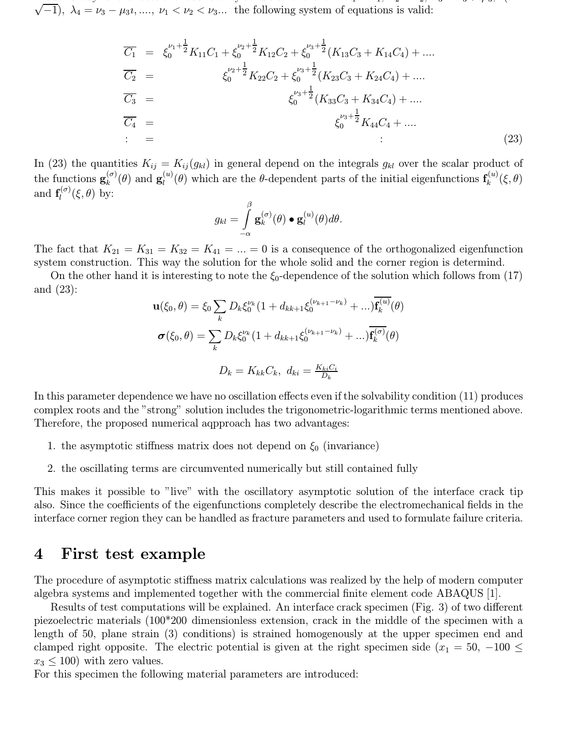In such a way for the roots of the solvent condition of the solvation of the form  $\Lambda$  $\sqrt{-1}$ ,  $\lambda_4 = \nu_3 - \mu_3 \nu_1, \ldots, \nu_1 < \nu_2 < \nu_3 \ldots$  the following system of equations is valid:

$$
\overline{C_1} = \xi_0^{\nu_1 + \frac{1}{2}} K_{11} C_1 + \xi_0^{\nu_2 + \frac{1}{2}} K_{12} C_2 + \xi_0^{\nu_3 + \frac{1}{2}} (K_{13} C_3 + K_{14} C_4) + \dots
$$
\n
$$
\overline{C_2} = \xi_0^{\nu_2 + \frac{1}{2}} K_{22} C_2 + \xi_0^{\nu_3 + \frac{1}{2}} (K_{23} C_3 + K_{24} C_4) + \dots
$$
\n
$$
\overline{C_3} = \xi_0^{\nu_3 + \frac{1}{2}} (K_{33} C_3 + K_{34} C_4) + \dots
$$
\n
$$
\overline{C_4} = \xi_0^{\nu_3 + \frac{1}{2}} K_{44} C_4 + \dots
$$
\n
$$
\vdots
$$
\n(23)

In (23) the quantities  $K_{ij} = K_{ij}(g_{kl})$  in general depend on the integrals  $g_{kl}$  over the scalar product of the functions  $\mathbf{g}_k^{(\sigma)}(\theta)$  and  $\mathbf{g}_l^{(u)}(\theta)$  which are the  $\theta$ -dependent parts of the initial eigenfunctions  $\mathbf{f}_k^{(u)}(\xi,\theta)$ and  $\mathbf{f}_l^{(\sigma)}(\xi,\theta)$  by:

$$
g_{kl} = \int\limits_{-\alpha}^{\beta} \mathbf{g}_{k}^{(\sigma)}(\theta) \bullet \mathbf{g}_{l}^{(u)}(\theta) d\theta.
$$

The fact that  $K_{21} = K_{31} = K_{32} = K_{41} = ... = 0$  is a consequence of the orthogonalized eigenfunction system construction. This way the solution for the whole solid and the corner region is determind.

On the other hand it is interesting to note the  $\xi_0$ -dependence of the solution which follows from (17) and (23):

$$
\mathbf{u}(\xi_0, \theta) = \xi_0 \sum_k D_k \xi_0^{\nu_k} (1 + d_{kk+1} \xi_0^{(\nu_{k+1} - \nu_k)} + \dots) \mathbf{f}_k^{(u)}(\theta)
$$

$$
\sigma(\xi_0, \theta) = \sum_k D_k \xi_0^{\nu_k} (1 + d_{kk+1} \xi_0^{(\nu_{k+1} - \nu_k)} + \dots) \overline{\mathbf{f}_k^{(\sigma)}}(\theta)
$$

$$
D_k = K_{kk} C_k, d_{ki} = \frac{K_{ki} C_i}{D_k}
$$

In this parameter dependence we have no oscillation effects even if the solvability condition (11) produces complex roots and the "strong" solution includes the trigonometric-logarithmic terms mentioned above. Therefore, the proposed numerical aqpproach has two advantages:

- 1. the asymptotic stiffness matrix does not depend on  $\xi_0$  (invariance)
- 2. the oscillating terms are circumvented numerically but still contained fully

This makes it possible to "live" with the oscillatory asymptotic solution of the interface crack tip also. Since the coefficients of the eigenfunctions completely describe the electromechanical fields in the interface corner region they can be handled as fracture parameters and used to formulate failure criteria.

### 4 First test example

The procedure of asymptotic stiffness matrix calculations was realized by the help of modern computer algebra systems and implemented together with the commercial finite element code ABAQUS [1].

Results of test computations will be explained. An interface crack specimen (Fig. 3) of two different piezoelectric materials (100\*200 dimensionless extension, crack in the middle of the specimen with a length of 50, plane strain (3) conditions) is strained homogenously at the upper specimen end and clamped right opposite. The electric potential is given at the right specimen side ( $x_1 = 50, -100 \le$  $x_3 \leq 100$ ) with zero values.

For this specimen the following material parameters are introduced: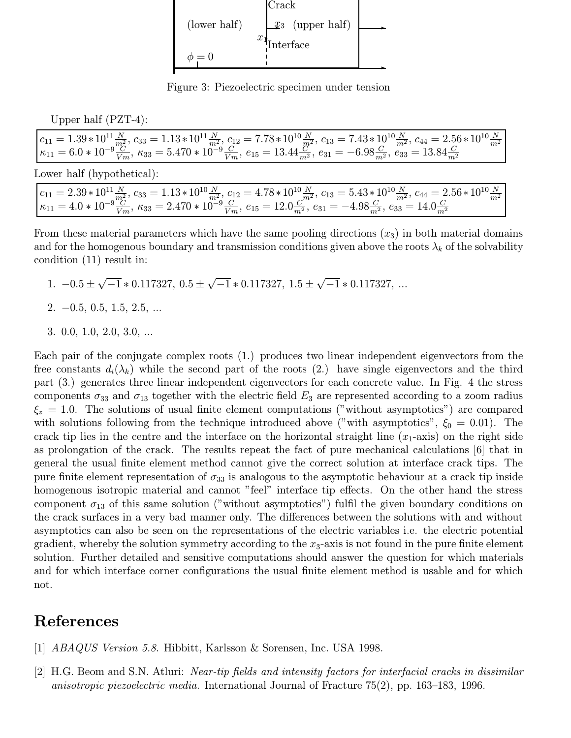

Figure 3: Piezoelectric specimen under tension

Upper half (PZT-4):

$$
\begin{array}{l} c_{11}=1.39*10^{11}\frac{N}{m^2}, c_{33}=1.13*10^{11}\frac{N}{m^2}, c_{12}=7.78*10^{10}\frac{N}{m^2}, c_{13}=7.43*10^{10}\frac{N}{m^2}, c_{44}=2.56*10^{10}\frac{N}{m^2}\\ \kappa_{11}=6.0*10^{-9}\frac{C}{Vm}, \, \kappa_{33}=5.470*10^{-9}\frac{C}{Vm}, \, e_{15}=13.44\frac{C}{m^2}, e_{31}=-6.98\frac{C}{m^2}, \, e_{33}=13.84\frac{C}{m^2} \end{array}
$$

Lower half (hypothetical):

$$
\begin{array}{l} c_{11}=2.39*10^{11}\frac{N}{m^2}, c_{33}=1.13*10^{10}\frac{N}{m^2}, c_{12}=4.78*10^{10}\frac{N}{m^2}, c_{13}=5.43*10^{10}\frac{N}{m^2}, c_{44}=2.56*10^{10}\frac{N}{m^2}\\ \kappa_{11}=4.0*10^{-9}\frac{C}{Vm}, \, \kappa_{33}=2.470*10^{-9}\frac{C}{Vm}, \, e_{15}=12.0\frac{C}{m^2}, e_{31}=-4.98\frac{C}{m^2}, e_{33}=14.0\frac{C}{m^2} \end{array}
$$

From these material parameters which have the same pooling directions  $(x_3)$  in both material domains and for the homogenous boundary and transmission conditions given above the roots  $\lambda_k$  of the solvability condition (11) result in:

- 1.  $-0.5 \pm \sqrt{-1} * 0.117327$ ,  $0.5 \pm \sqrt{-1} * 0.117327$ ,  $1.5 \pm \sqrt{-1} * 0.117327$ , ...
- $2. -0.5, 0.5, 1.5, 2.5, ...$
- 3. 0.0, 1.0, 2.0, 3.0, ...

Each pair of the conjugate complex roots (1.) produces two linear independent eigenvectors from the free constants  $d_i(\lambda_k)$  while the second part of the roots (2.) have single eigenvectors and the third part (3.) generates three linear independent eigenvectors for each concrete value. In Fig. 4 the stress components  $\sigma_{33}$  and  $\sigma_{13}$  together with the electric field  $E_3$  are represented according to a zoom radius  $\xi_z = 1.0$ . The solutions of usual finite element computations ("without asymptotics") are compared with solutions following from the technique introduced above ("with asymptotics",  $\xi_0 = 0.01$ ). The crack tip lies in the centre and the interface on the horizontal straight line  $(x_1$ -axis) on the right side as prolongation of the crack. The results repeat the fact of pure mechanical calculations [6] that in general the usual finite element method cannot give the correct solution at interface crack tips. The pure finite element representation of  $\sigma_{33}$  is analogous to the asymptotic behaviour at a crack tip inside homogenous isotropic material and cannot "feel" interface tip effects. On the other hand the stress component  $\sigma_{13}$  of this same solution ("without asymptotics") fulfil the given boundary conditions on the crack surfaces in a very bad manner only. The differences between the solutions with and without asymptotics can also be seen on the representations of the electric variables i.e. the electric potential gradient, whereby the solution symmetry according to the  $x_3$ -axis is not found in the pure finite element solution. Further detailed and sensitive computations should answer the question for which materials and for which interface corner configurations the usual finite element method is usable and for which not.

## References

- [1] ABAQUS Version 5.8. Hibbitt, Karlsson & Sorensen, Inc. USA 1998.
- [2] H.G. Beom and S.N. Atluri: Near-tip fields and intensity factors for interfacial cracks in dissimilar anisotropic piezoelectric media. International Journal of Fracture 75(2), pp. 163–183, 1996.